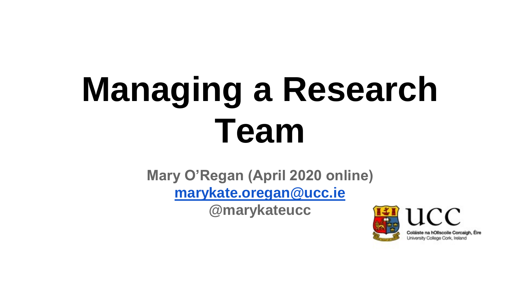# **Managing a Research Team**

**Mary O'Regan (April 2020 online) [marykate.oregan@ucc.ie](mailto:marykate.oregan@ucc.ie)**

**@marykateucc**

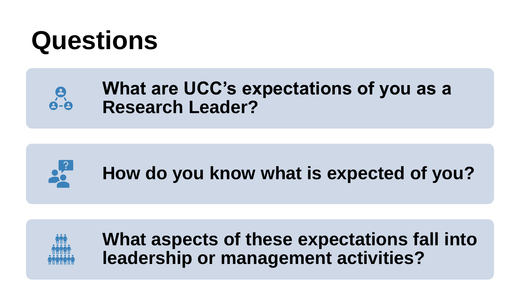

#### **What are UCC's expectations of you as a Research Leader?**



 $\frac{9}{9}$ 

**How do you know what is expected of you?**



**What aspects of these expectations fall into leadership or management activities?**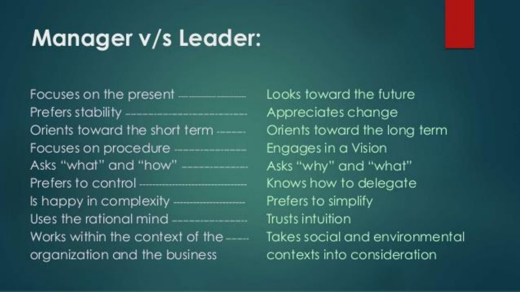#### **Manager v/s Leader:**

Focuses on the present \_\_\_\_\_\_\_\_\_\_ Orients toward the short term ......... Focuses on procedure ---------------Asks "what" and "how" \_\_\_\_\_\_\_\_\_\_ Prefers to control ————————— Is happy in complexity  $\frac{1}{2}$ Uses the rational mind  $\frac{1}{1}$ Works within the context of the ....... organization and the business

Looks toward the future Appreciates change Orients toward the long term Engages in a Vision Asks "why" and "what" Knows how to delegate Prefers to simplify Trusts intuition Takes social and environmental contexts into consideration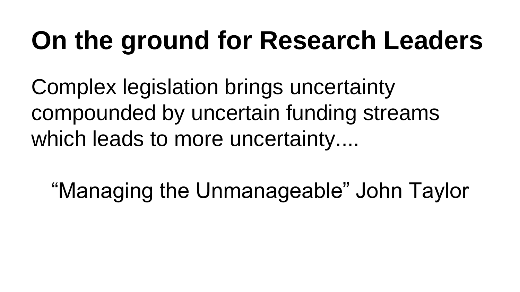#### **On the ground for Research Leaders**

Complex legislation brings uncertainty compounded by uncertain funding streams which leads to more uncertainty....

"Managing the Unmanageable" John Taylor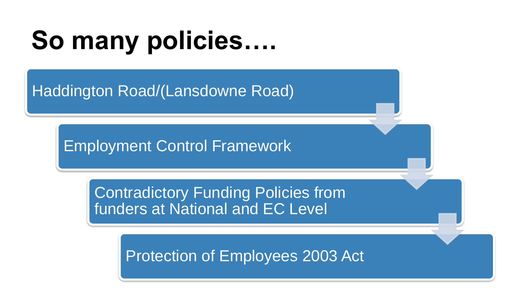#### **So many policies….**

Haddington Road/(Lansdowne Road)

Employment Control Framework

Contradictory Funding Policies from funders at National and EC Level

Protection of Employees 2003 Act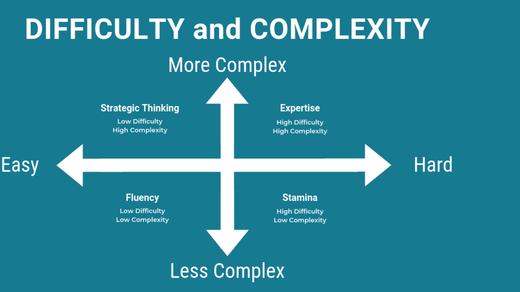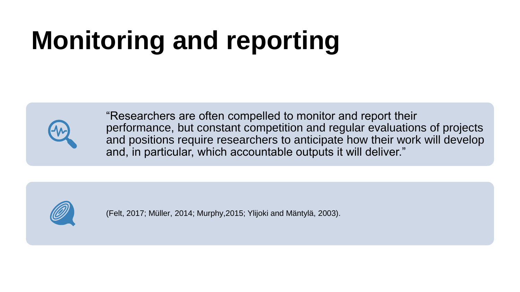## **Monitoring and reporting**



"Researchers are often compelled to monitor and report their performance, but constant competition and regular evaluations of projects and positions require researchers to anticipate how their work will develop and, in particular, which accountable outputs it will deliver."



(Felt, 2017; Müller, 2014; Murphy,2015; Ylijoki and Mäntylä, 2003).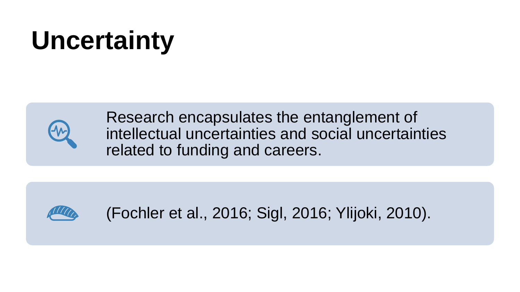#### **Uncertainty**



Research encapsulates the entanglement of intellectual uncertainties and social uncertainties related to funding and careers.



(Fochler et al., 2016; Sigl, 2016; Ylijoki, 2010).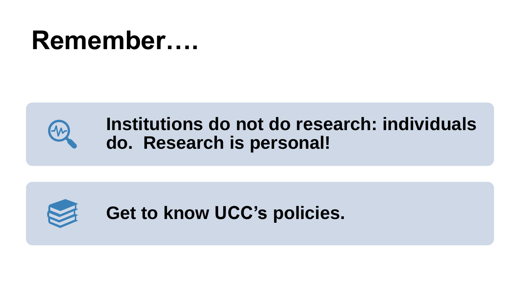#### **Remember….**



#### **Institutions do not do research: individuals do. Research is personal!**



**Get to know UCC's policies.**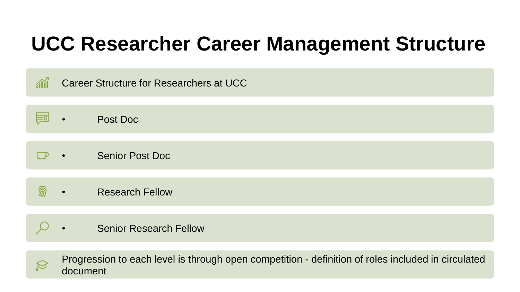#### **UCC Researcher Career Management Structure**





Progression to each level is through open competition - definition of roles included in circulated document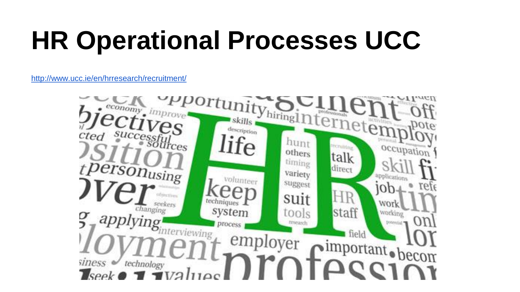#### **HR Operational Processes UCC**

<http://www.ucc.ie/en/hrresearch/recruitment/>

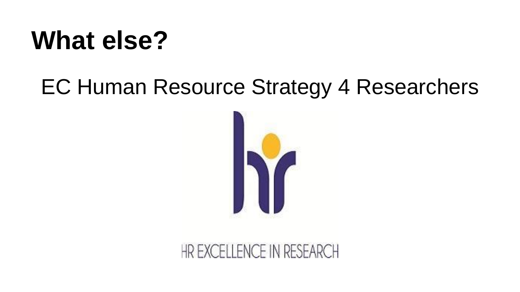#### **What else?**

#### EC Human Resource Strategy 4 Researchers



#### HR EXCELLENCE IN RESEARCH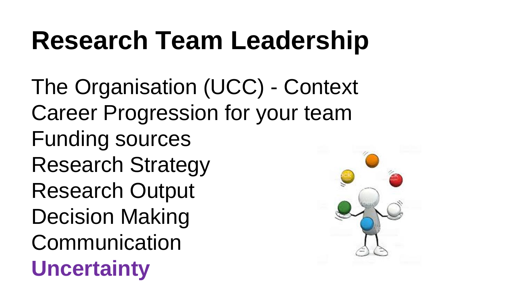#### **Research Team Leadership**

The Organisation (UCC) - Context Career Progression for your team Funding sources Research Strategy Research Output Decision Making **Communication Uncertainty**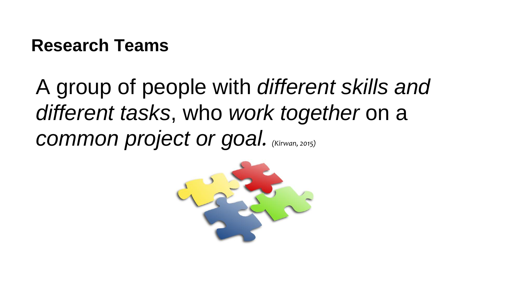#### **Research Teams**

A group of people with *different skills and different tasks*, who *work together* on a *common project or goal. (Kirwan, 2015)*

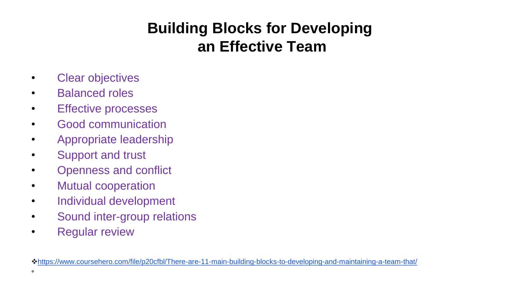#### **Building Blocks for Developing an Effective Team**

- Clear objectives
- Balanced roles
- Effective processes
- Good communication
- Appropriate leadership
- Support and trust
- Openness and conflict
- Mutual cooperation
- Individual development
- Sound inter-group relations
- Regular review

❖<https://www.coursehero.com/file/p20cfbl/There-are-11-main-building-blocks-to-developing-and-maintaining-a-team-that/>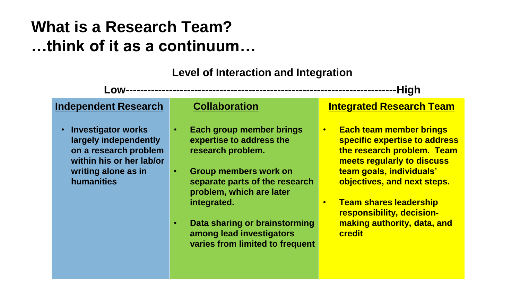#### **What is a Research Team? …think of it as a continuum…**

**Level of Interaction and Integration**

**Low---------------------------------------------------------------------------High** 

**Independent Research**

• **Investigator works largely independently on a research problem within his or her lab/or writing alone as in humanities**

#### **Collaboration**

- **Each group member brings expertise to address the research problem.**
- **Group members work on separate parts of the research problem, which are later integrated.**
- **Data sharing or brainstorming among lead investigators varies from limited to frequent**

#### **Integrated Research Team**

- **Each team member brings specific expertise to address the research problem. Team meets regularly to discuss team goals, individuals' objectives, and next steps.**
- **Team shares leadership responsibility, decisionmaking authority, data, and credit**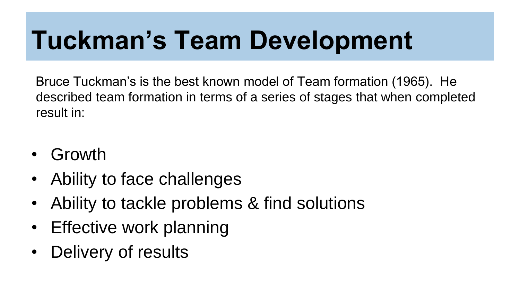#### **Tuckman's Team Development**

Bruce Tuckman's is the best known model of Team formation (1965). He described team formation in terms of a series of stages that when completed result in:

- Growth
- Ability to face challenges
- Ability to tackle problems & find solutions
- Effective work planning
- Delivery of results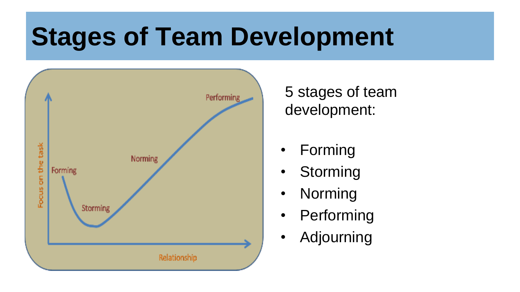#### **Stages of Team Development**



5 stages of team development:

- **Forming**
- **Storming**
- Norming
- Performing
- Adjourning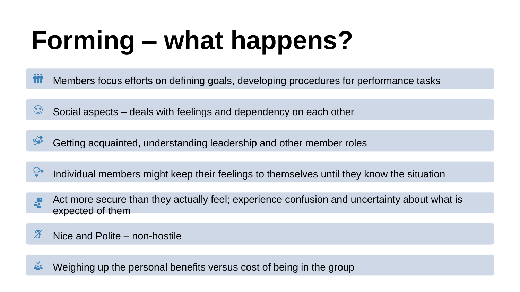# **Forming – what happens?**

**KNY** Members focus efforts on defining goals, developing procedures for performance tasks

Social aspects – deals with feelings and dependency on each other

Getting acquainted, understanding leadership and other member roles

Individual members might keep their feelings to themselves until they know the situation

- Act more secure than they actually feel; experience confusion and uncertainty about what is  $\frac{1}{2}$ expected of them
- Ŋ Nice and Polite – non-hostile

 $\frac{1}{2}$ Weighing up the personal benefits versus cost of being in the group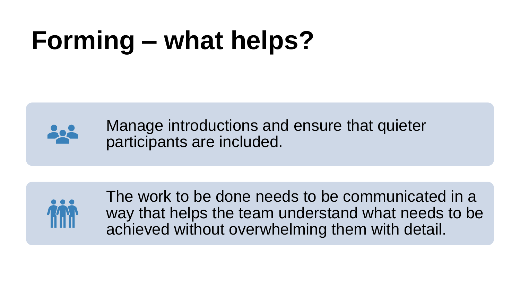### **Forming – what helps?**



Manage introductions and ensure that quieter participants are included.



The work to be done needs to be communicated in a way that helps the team understand what needs to be achieved without overwhelming them with detail.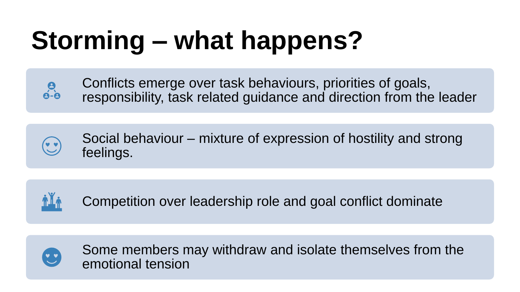# **Storming – what happens?**



Conflicts emerge over task behaviours, priorities of goals, responsibility, task related guidance and direction from the leader



Social behaviour – mixture of expression of hostility and strong feelings.



Competition over leadership role and goal conflict dominate



Some members may withdraw and isolate themselves from the emotional tension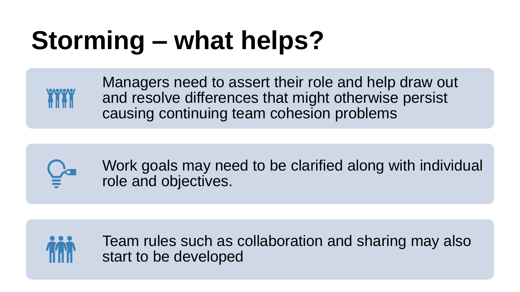#### **Storming – what helps?**



Managers need to assert their role and help draw out and resolve differences that might otherwise persist causing continuing team cohesion problems



Work goals may need to be clarified along with individual role and objectives.



Team rules such as collaboration and sharing may also start to be developed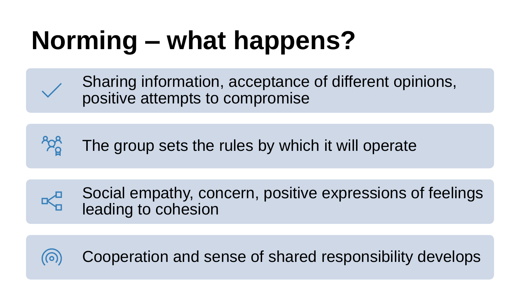# **Norming – what happens?**



Sharing information, acceptance of different opinions, positive attempts to compromise

The group sets the rules by which it will operate



Cooperation and sense of shared responsibility develops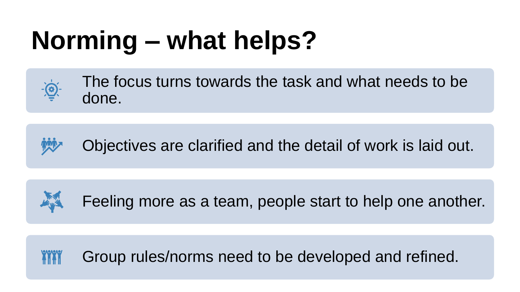# **Norming – what helps?**



The focus turns towards the task and what needs to be done.





Feeling more as a team, people start to help one another.

**YYYY** Group rules/norms need to be developed and refined.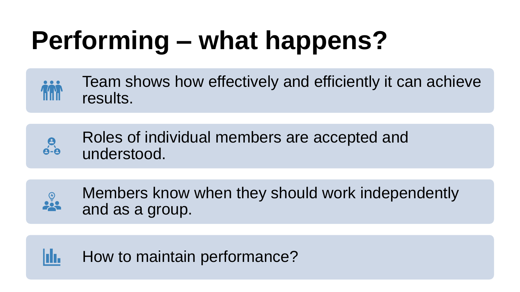## **Performing – what happens?**



Roles of individual members are accepted and  $\frac{9}{9-9}$ understood.



Members know when they should work independently and as a group.

hh. How to maintain performance?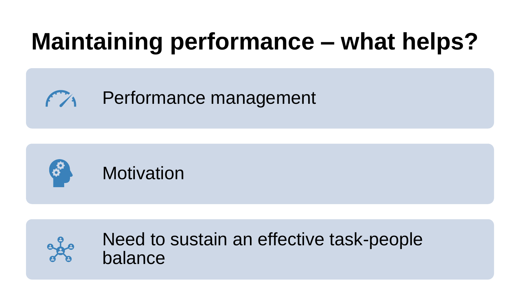#### **Maintaining performance – what helps?**

Performance management





Need to sustain an effective task-people balance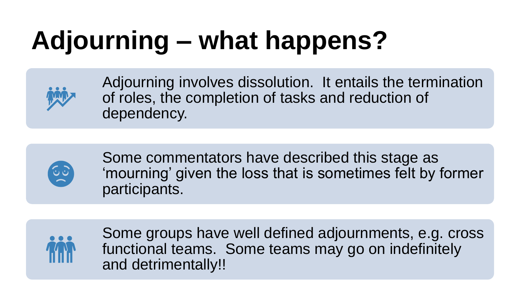# **Adjourning – what happens?**



Adjourning involves dissolution. It entails the termination of roles, the completion of tasks and reduction of dependency.



Some commentators have described this stage as 'mourning' given the loss that is sometimes felt by former participants.



Some groups have well defined adjournments, e.g. cross functional teams. Some teams may go on indefinitely and detrimentally!!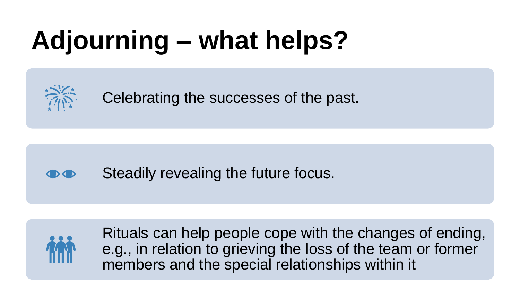# **Adjourning – what helps?**



Celebrating the successes of the past.

#### Steadily revealing the future focus.  $\bigodot$



Rituals can help people cope with the changes of ending, e.g., in relation to grieving the loss of the team or former members and the special relationships within it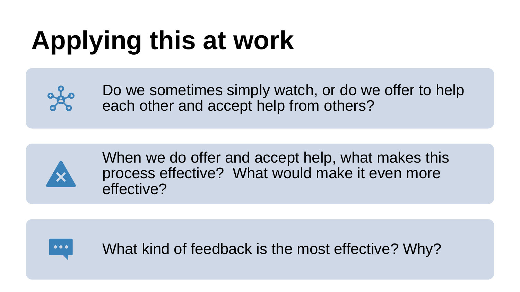# **Applying this at work**



Do we sometimes simply watch, or do we offer to help each other and accept help from others?



When we do offer and accept help, what makes this process effective? What would make it even more effective?



What kind of feedback is the most effective? Why?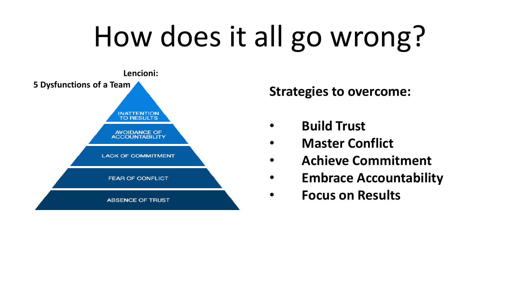# How does it all go wrong?



- **Build Trust**
- **Master Conflict**
- **Achieve Commitment**
- **Embrace Accountability**
- **Focus on Results**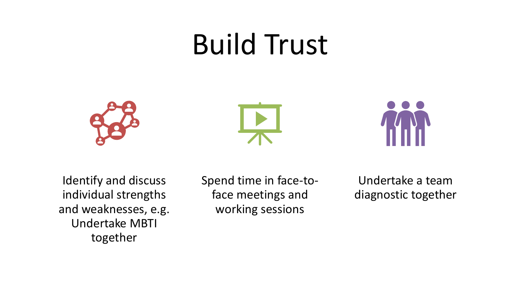#### Build Trust







Identify and discuss individual strengths and weaknesses, e.g. Undertake MBTI together

Spend time in face-toface meetings and working sessions

Undertake a team diagnostic together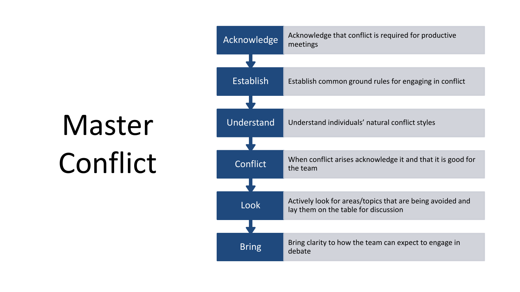Master Conflict

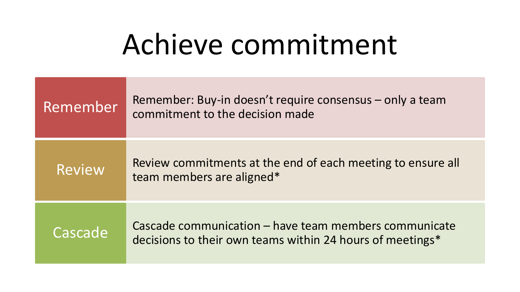#### Achieve commitment

| Remember      | Remember: Buy-in doesn't require consensus – only a team<br>commitment to the decision made                        |
|---------------|--------------------------------------------------------------------------------------------------------------------|
| <b>Review</b> | Review commitments at the end of each meeting to ensure all<br>team members are aligned*                           |
| Cascade       | Cascade communication – have team members communicate<br>decisions to their own teams within 24 hours of meetings* |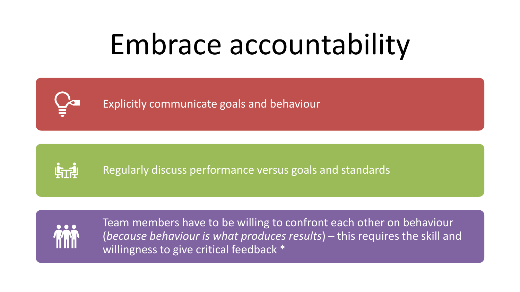# Embrace accountability

Explicitly communicate goals and behaviour



Regularly discuss performance versus goals and standards



Team members have to be willing to confront each other on behaviour (*because behaviour is what produces results*) – this requires the skill and willingness to give critical feedback \*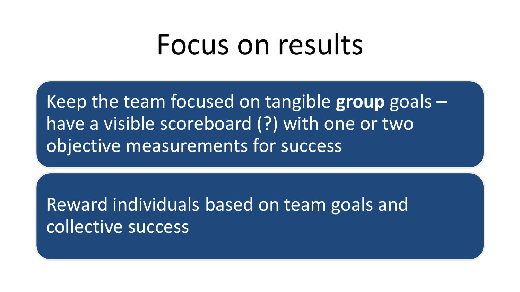#### Focus on results

Keep the team focused on tangible **group** goals – have a visible scoreboard (?) with one or two objective measurements for success

Reward individuals based on team goals and collective success